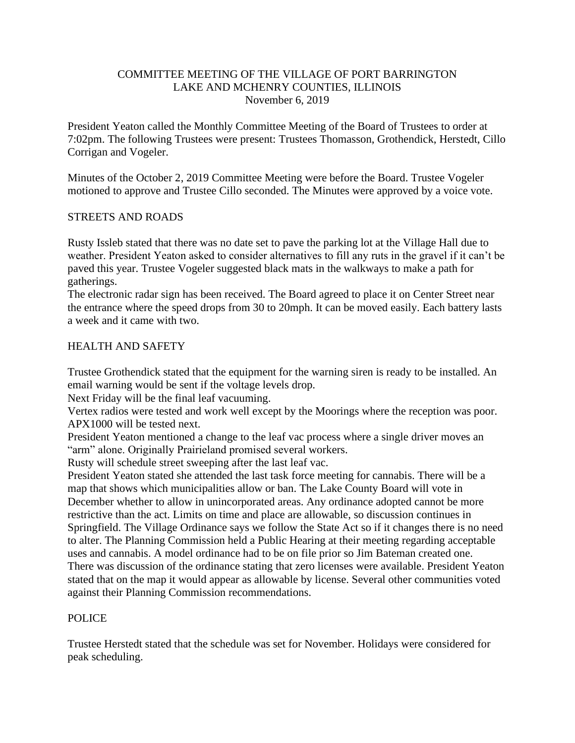### COMMITTEE MEETING OF THE VILLAGE OF PORT BARRINGTON LAKE AND MCHENRY COUNTIES, ILLINOIS November 6, 2019

President Yeaton called the Monthly Committee Meeting of the Board of Trustees to order at 7:02pm. The following Trustees were present: Trustees Thomasson, Grothendick, Herstedt, Cillo Corrigan and Vogeler.

Minutes of the October 2, 2019 Committee Meeting were before the Board. Trustee Vogeler motioned to approve and Trustee Cillo seconded. The Minutes were approved by a voice vote.

## STREETS AND ROADS

Rusty Issleb stated that there was no date set to pave the parking lot at the Village Hall due to weather. President Yeaton asked to consider alternatives to fill any ruts in the gravel if it can't be paved this year. Trustee Vogeler suggested black mats in the walkways to make a path for gatherings.

The electronic radar sign has been received. The Board agreed to place it on Center Street near the entrance where the speed drops from 30 to 20mph. It can be moved easily. Each battery lasts a week and it came with two.

### HEALTH AND SAFETY

Trustee Grothendick stated that the equipment for the warning siren is ready to be installed. An email warning would be sent if the voltage levels drop.

Next Friday will be the final leaf vacuuming.

Vertex radios were tested and work well except by the Moorings where the reception was poor. APX1000 will be tested next.

President Yeaton mentioned a change to the leaf vac process where a single driver moves an "arm" alone. Originally Prairieland promised several workers.

Rusty will schedule street sweeping after the last leaf vac.

President Yeaton stated she attended the last task force meeting for cannabis. There will be a map that shows which municipalities allow or ban. The Lake County Board will vote in December whether to allow in unincorporated areas. Any ordinance adopted cannot be more restrictive than the act. Limits on time and place are allowable, so discussion continues in Springfield. The Village Ordinance says we follow the State Act so if it changes there is no need to alter. The Planning Commission held a Public Hearing at their meeting regarding acceptable uses and cannabis. A model ordinance had to be on file prior so Jim Bateman created one. There was discussion of the ordinance stating that zero licenses were available. President Yeaton stated that on the map it would appear as allowable by license. Several other communities voted against their Planning Commission recommendations.

### POLICE

Trustee Herstedt stated that the schedule was set for November. Holidays were considered for peak scheduling.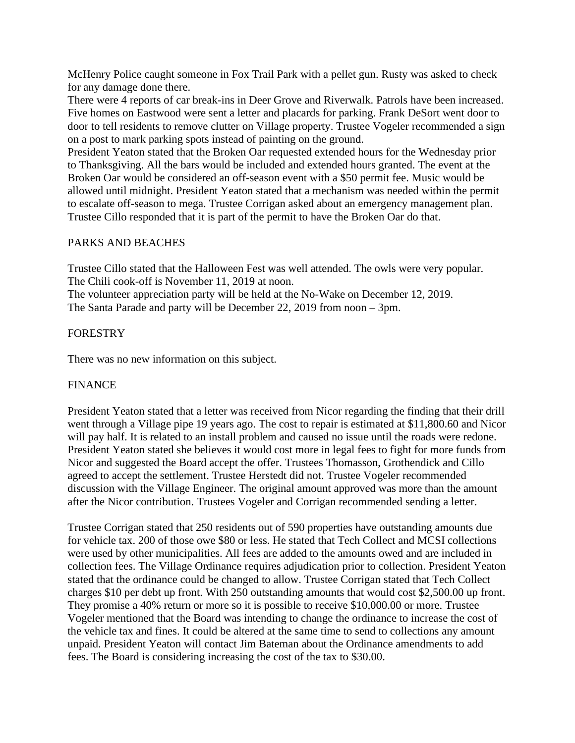McHenry Police caught someone in Fox Trail Park with a pellet gun. Rusty was asked to check for any damage done there.

There were 4 reports of car break-ins in Deer Grove and Riverwalk. Patrols have been increased. Five homes on Eastwood were sent a letter and placards for parking. Frank DeSort went door to door to tell residents to remove clutter on Village property. Trustee Vogeler recommended a sign on a post to mark parking spots instead of painting on the ground.

President Yeaton stated that the Broken Oar requested extended hours for the Wednesday prior to Thanksgiving. All the bars would be included and extended hours granted. The event at the Broken Oar would be considered an off-season event with a \$50 permit fee. Music would be allowed until midnight. President Yeaton stated that a mechanism was needed within the permit to escalate off-season to mega. Trustee Corrigan asked about an emergency management plan. Trustee Cillo responded that it is part of the permit to have the Broken Oar do that.

# PARKS AND BEACHES

Trustee Cillo stated that the Halloween Fest was well attended. The owls were very popular. The Chili cook-off is November 11, 2019 at noon.

The volunteer appreciation party will be held at the No-Wake on December 12, 2019. The Santa Parade and party will be December 22, 2019 from noon – 3pm.

# **FORESTRY**

There was no new information on this subject.

# FINANCE

President Yeaton stated that a letter was received from Nicor regarding the finding that their drill went through a Village pipe 19 years ago. The cost to repair is estimated at \$11,800.60 and Nicor will pay half. It is related to an install problem and caused no issue until the roads were redone. President Yeaton stated she believes it would cost more in legal fees to fight for more funds from Nicor and suggested the Board accept the offer. Trustees Thomasson, Grothendick and Cillo agreed to accept the settlement. Trustee Herstedt did not. Trustee Vogeler recommended discussion with the Village Engineer. The original amount approved was more than the amount after the Nicor contribution. Trustees Vogeler and Corrigan recommended sending a letter.

Trustee Corrigan stated that 250 residents out of 590 properties have outstanding amounts due for vehicle tax. 200 of those owe \$80 or less. He stated that Tech Collect and MCSI collections were used by other municipalities. All fees are added to the amounts owed and are included in collection fees. The Village Ordinance requires adjudication prior to collection. President Yeaton stated that the ordinance could be changed to allow. Trustee Corrigan stated that Tech Collect charges \$10 per debt up front. With 250 outstanding amounts that would cost \$2,500.00 up front. They promise a 40% return or more so it is possible to receive \$10,000.00 or more. Trustee Vogeler mentioned that the Board was intending to change the ordinance to increase the cost of the vehicle tax and fines. It could be altered at the same time to send to collections any amount unpaid. President Yeaton will contact Jim Bateman about the Ordinance amendments to add fees. The Board is considering increasing the cost of the tax to \$30.00.